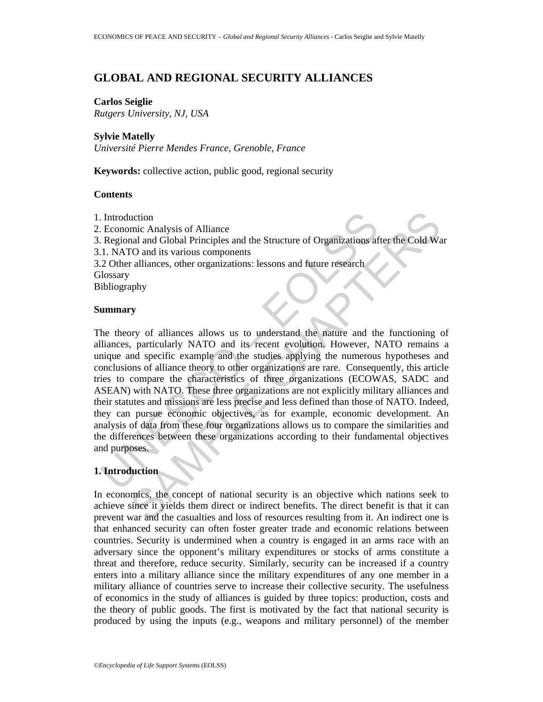# **GLOBAL AND REGIONAL SECURITY ALLIANCES**

#### **Carlos Seiglie**

*Rutgers University, NJ, USA* 

### **Sylvie Matelly**

*Université Pierre Mendes France, Grenoble, France* 

**Keywords:** collective action, public good, regional security

### **Contents**

1. Introduction

2. Economic Analysis of Alliance 3. Regional and Global Principles and the Structure of Organizations after the Cold War 3.1. NATO and its various components 3.2 Other alliances, other organizations: lessons and future research **Glossary** Bibliography

#### **Summary**

Introduction<br>
I. Economic Analysis of Alliance<br>
Regional and Global Principles and the Structure of Organizations af<br>
1.1. NATO and its various components<br>
2. Other alliances, other organizations: lessons and future resear ncion<br>
mal and Global Principles and the Structure of Organizations after the Cold Wa<br>
mal and Global Principles and the Structure of Organizations after the Cold Wa<br>
To and its various components<br>
ralliances, other organi The theory of alliances allows us to understand the nature and the functioning of alliances, particularly NATO and its recent evolution. However, NATO remains a unique and specific example and the studies applying the numerous hypotheses and conclusions of alliance theory to other organizations are rare. Consequently, this article tries to compare the characteristics of three organizations (ECOWAS, SADC and ASEAN) with NATO. These three organizations are not explicitly military alliances and their statutes and missions are less precise and less defined than those of NATO. Indeed, they can pursue economic objectives, as for example, economic development. An analysis of data from these four organizations allows us to compare the similarities and the differences between these organizations according to their fundamental objectives and purposes.

### **1. Introduction**

In economics, the concept of national security is an objective which nations seek to achieve since it yields them direct or indirect benefits. The direct benefit is that it can prevent war and the casualties and loss of resources resulting from it. An indirect one is that enhanced security can often foster greater trade and economic relations between countries. Security is undermined when a country is engaged in an arms race with an adversary since the opponent's military expenditures or stocks of arms constitute a threat and therefore, reduce security. Similarly, security can be increased if a country enters into a military alliance since the military expenditures of any one member in a military alliance of countries serve to increase their collective security. The usefulness of economics in the study of alliances is guided by three topics: production, costs and the theory of public goods. The first is motivated by the fact that national security is produced by using the inputs (e.g., weapons and military personnel) of the member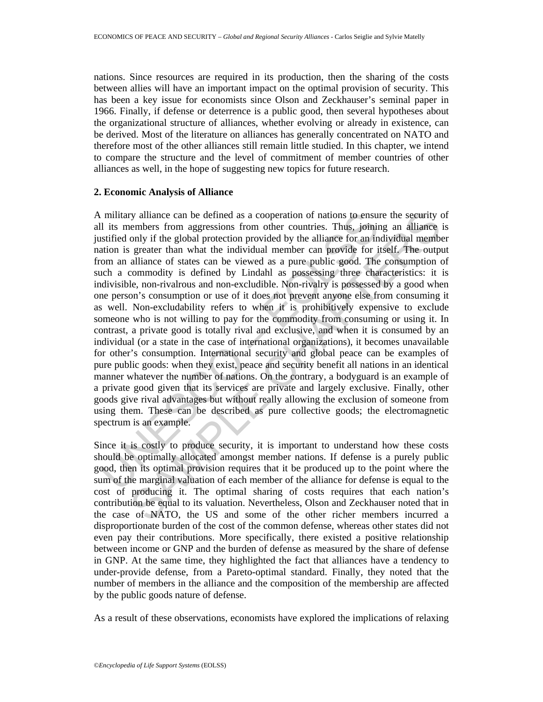nations. Since resources are required in its production, then the sharing of the costs between allies will have an important impact on the optimal provision of security. This has been a key issue for economists since Olson and Zeckhauser's seminal paper in 1966. Finally, if defense or deterrence is a public good, then several hypotheses about the organizational structure of alliances, whether evolving or already in existence, can be derived. Most of the literature on alliances has generally concentrated on NATO and therefore most of the other alliances still remain little studied. In this chapter, we intend to compare the structure and the level of commitment of member countries of other alliances as well, in the hope of suggesting new topics for future research.

### **2. Economic Analysis of Alliance**

In military alliance can be defined as a cooperation of nations to ensumentiaties only if the global protection provided by the alliance for an instituted only if the global protection provide by the alliance of an institu ry alliance can be defined as a cooperation of nations to ensure the seeurity or<br>sumbers from aggressions from other countries. Thus, joining an alliance<br>only if the global protection provided by the alliance for, an indiv A military alliance can be defined as a cooperation of nations to ensure the security of all its members from aggressions from other countries. Thus, joining an alliance is justified only if the global protection provided by the alliance for an individual member nation is greater than what the individual member can provide for itself. The output from an alliance of states can be viewed as a pure public good. The consumption of such a commodity is defined by Lindahl as possessing three characteristics: it is indivisible, non-rivalrous and non-excludible. Non-rivalry is possessed by a good when one person's consumption or use of it does not prevent anyone else from consuming it as well. Non-excludability refers to when it is prohibitively expensive to exclude someone who is not willing to pay for the commodity from consuming or using it. In contrast, a private good is totally rival and exclusive, and when it is consumed by an individual (or a state in the case of international organizations), it becomes unavailable for other's consumption. International security and global peace can be examples of pure public goods: when they exist, peace and security benefit all nations in an identical manner whatever the number of nations. On the contrary, a bodyguard is an example of a private good given that its services are private and largely exclusive. Finally, other goods give rival advantages but without really allowing the exclusion of someone from using them. These can be described as pure collective goods; the electromagnetic spectrum is an example.

Since it is costly to produce security, it is important to understand how these costs should be optimally allocated amongst member nations. If defense is a purely public good, then its optimal provision requires that it be produced up to the point where the sum of the marginal valuation of each member of the alliance for defense is equal to the cost of producing it. The optimal sharing of costs requires that each nation's contribution be equal to its valuation. Nevertheless, Olson and Zeckhauser noted that in the case of NATO, the US and some of the other richer members incurred a disproportionate burden of the cost of the common defense, whereas other states did not even pay their contributions. More specifically, there existed a positive relationship between income or GNP and the burden of defense as measured by the share of defense in GNP. At the same time, they highlighted the fact that alliances have a tendency to under-provide defense, from a Pareto-optimal standard. Finally, they noted that the number of members in the alliance and the composition of the membership are affected by the public goods nature of defense.

As a result of these observations, economists have explored the implications of relaxing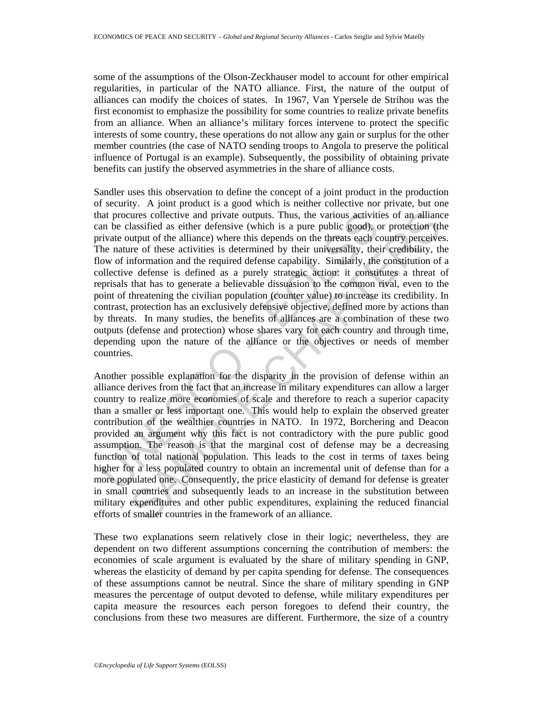some of the assumptions of the Olson-Zeckhauser model to account for other empirical regularities, in particular of the NATO alliance. First, the nature of the output of alliances can modify the choices of states. In 1967, Van Ypersele de Strihou was the first economist to emphasize the possibility for some countries to realize private benefits from an alliance. When an alliance's military forces intervene to protect the specific interests of some country, these operations do not allow any gain or surplus for the other member countries (the case of NATO sending troops to Angola to preserve the political influence of Portugal is an example). Subsequently, the possibility of obtaining private benefits can justify the observed asymmetries in the share of alliance costs.

at procures collective and private outputs. Thus, the various activitian be classified as either defensive (which is a pure public good), comet the allier of the alliance) where this depends on the threats each complete ob ures collective and private outputs. Thus, the various activities of an alliance lassified as either defensive (which is a pure public good), or protection (this at the distinguity of the alliance) where this depends on th Sandler uses this observation to define the concept of a joint product in the production of security. A joint product is a good which is neither collective nor private, but one that procures collective and private outputs. Thus, the various activities of an alliance can be classified as either defensive (which is a pure public good), or protection (the private output of the alliance) where this depends on the threats each country perceives. The nature of these activities is determined by their universality, their credibility, the flow of information and the required defense capability. Similarly, the constitution of a collective defense is defined as a purely strategic action: it constitutes a threat of reprisals that has to generate a believable dissuasion to the common rival, even to the point of threatening the civilian population (counter value) to increase its credibility. In contrast, protection has an exclusively defensive objective, defined more by actions than by threats. In many studies, the benefits of alliances are a combination of these two outputs (defense and protection) whose shares vary for each country and through time, depending upon the nature of the alliance or the objectives or needs of member countries.

Another possible explanation for the disparity in the provision of defense within an alliance derives from the fact that an increase in military expenditures can allow a larger country to realize more economies of scale and therefore to reach a superior capacity than a smaller or less important one. This would help to explain the observed greater contribution of the wealthier countries in NATO. In 1972, Borchering and Deacon provided an argument why this fact is not contradictory with the pure public good assumption. The reason is that the marginal cost of defense may be a decreasing function of total national population. This leads to the cost in terms of taxes being higher for a less populated country to obtain an incremental unit of defense than for a more populated one. Consequently, the price elasticity of demand for defense is greater in small countries and subsequently leads to an increase in the substitution between military expenditures and other public expenditures, explaining the reduced financial efforts of smaller countries in the framework of an alliance.

These two explanations seem relatively close in their logic; nevertheless, they are dependent on two different assumptions concerning the contribution of members: the economies of scale argument is evaluated by the share of military spending in GNP, whereas the elasticity of demand by per capita spending for defense. The consequences of these assumptions cannot be neutral. Since the share of military spending in GNP measures the percentage of output devoted to defense, while military expenditures per capita measure the resources each person foregoes to defend their country, the conclusions from these two measures are different. Furthermore, the size of a country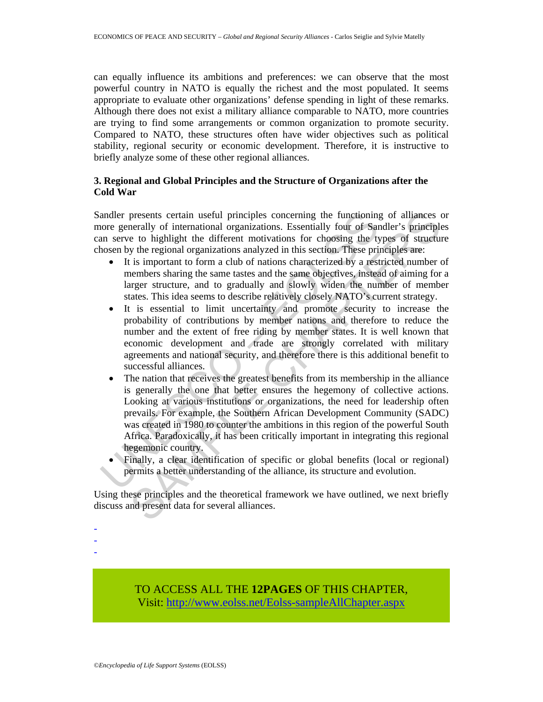can equally influence its ambitions and preferences: we can observe that the most powerful country in NATO is equally the richest and the most populated. It seems appropriate to evaluate other organizations' defense spending in light of these remarks. Although there does not exist a military alliance comparable to NATO, more countries are trying to find some arrangements or common organization to promote security. Compared to NATO, these structures often have wider objectives such as political stability, regional security or economic development. Therefore, it is instructive to briefly analyze some of these other regional alliances.

## **3. Regional and Global Principles and the Structure of Organizations after the Cold War**

Sandler presents certain useful principles concerning the functioning of alliances or more generally of international organizations. Essentially four of Sandler's principles can serve to highlight the different motivations for choosing the types of structure chosen by the regional organizations analyzed in this section. These principles are:

- It is important to form a club of nations characterized by a restricted number of members sharing the same tastes and the same objectives, instead of aiming for a larger structure, and to gradually and slowly widen the number of member states. This idea seems to describe relatively closely NATO's current strategy.
- It is essential to limit uncertainty and promote security to increase the probability of contributions by member nations and therefore to reduce the number and the extent of free riding by member states. It is well known that economic development and trade are strongly correlated with military agreements and national security, and therefore there is this additional benefit to successful alliances.
- andler presents certain useful principles concerning the functioning<br>ore generally of international organizations. Essentially four of Sar<br>an serve to highlight the different motivations for choosing the typ<br>ones move to h presents certain useful principles concerning the functioning of alliances or penerally of international organizations. Essentially four of Sander's principles et to highlight the different motivations for choosing the typ • The nation that receives the greatest benefits from its membership in the alliance is generally the one that better ensures the hegemony of collective actions. Looking at various institutions or organizations, the need for leadership often prevails. For example, the Southern African Development Community (SADC) was created in 1980 to counter the ambitions in this region of the powerful South Africa. Paradoxically, it has been critically important in integrating this regional hegemonic country.
	- Finally, a clear identification of specific or global benefits (local or regional) permits a better understanding of the alliance, its structure and evolution.

Using these principles and the theoretical framework we have outlined, we next briefly discuss and present data for several alliances.

> TO ACCESS ALL THE **12PAGES** OF THIS CHAPTER, Vis[it: http://www.eolss.net/Eolss-sampleAllChapter.aspx](https://www.eolss.net/ebooklib/sc_cart.aspx?File=E6-28A-04-03)

- - -